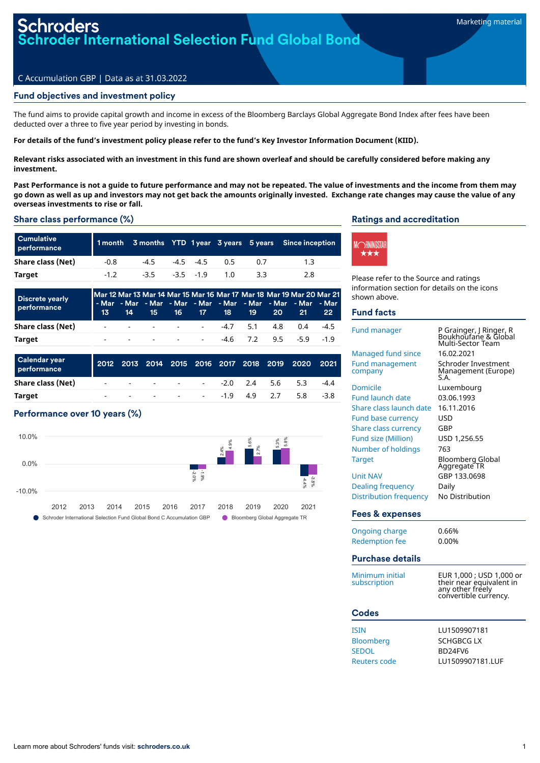## **oders oder International Selection Fund Global Bond**

## C Accumulation GBP | Data as at 31.03.2022

## Fund objectives and investment policy

The fund aims to provide capital growth and income in excess of the Bloomberg Barclays Global Aggregate Bond Index after fees have been deducted over a three to five year period by investing in bonds.

For details of the fund's investment policy please refer to the fund's Key Investor Information Document (KIID).

Relevant risks associated with an investment in this fund are shown overleaf and should be carefully considered before making any **investment.**

Past Performance is not a quide to future performance and may not be repeated. The value of investments and the income from them may go down as well as up and investors may not get back the amounts originally invested. Exchange rate changes may cause the value of any **overseas investments to rise or fall.**

## Share class performance (%)

| <b>Cumulative</b><br>performance |        |        |             |           | 1 month 3 months YTD 1 year 3 years 5 years Since inception |
|----------------------------------|--------|--------|-------------|-----------|-------------------------------------------------------------|
| Share class (Net)                | $-0.8$ | $-4.5$ | $-4.5 -4.5$ | <u>ሰ5</u> |                                                             |
| Target                           | -12    | $-3.5$ | $-3.5 -1.9$ | 1 በ       | 2.8                                                         |

| <b>Discrete yearly</b><br>performance |  |  |  |  | Mar 12 Mar 13 Mar 14 Mar 15 Mar 16 Mar 17 Mar 18 Mar 19 Mar 20 Mar 21<br>I - Mar - Mar - Mar - Mar - Mar - Mar - Mar - Mar - Mar - Mar<br>13 14 15 16 17 18 19 20 21 | 22 <sup>°</sup> |
|---------------------------------------|--|--|--|--|----------------------------------------------------------------------------------------------------------------------------------------------------------------------|-----------------|
| Share class (Net)                     |  |  |  |  |                                                                                                                                                                      |                 |
| Target                                |  |  |  |  |                                                                                                                                                                      |                 |

| <b>Calendar year</b><br>performance |  |  |  |                        | 2012 2013 2014 2015 2016 2017 2018 2019 2020 2021 |        |
|-------------------------------------|--|--|--|------------------------|---------------------------------------------------|--------|
| Share class (Net)                   |  |  |  | $      -$ 2.0 2.4 5.6  | 5.3                                               | $-4.4$ |
| <b>Target</b>                       |  |  |  | $      19$ $4.9$ $2.7$ | 5.8                                               | $-3.8$ |

## Performance over 10 years (%)



## Ratings and accreditation



Please refer to the Source and ratings information section for details on the icons shown above.

## Fund facts

| Fund manager                      | P Grainger, J Ringer, R<br>Boukhoufane & Global<br>Multi-Sector Team                              |
|-----------------------------------|---------------------------------------------------------------------------------------------------|
| Managed fund since                | 16.02.2021                                                                                        |
| <b>Fund management</b><br>company | Schroder Investment<br>Management (Europe)<br>S.A.                                                |
| Domicile                          | Luxembourg                                                                                        |
| <b>Fund launch date</b>           | 03.06.1993                                                                                        |
| Share class launch date           | 16.11.2016                                                                                        |
| Fund base currency                | USD                                                                                               |
| <b>Share class currency</b>       | GBP                                                                                               |
| <b>Fund size (Million)</b>        | USD 1,256.55                                                                                      |
| Number of holdings                | 763                                                                                               |
| <b>Target</b>                     | <b>Bloomberg Global</b><br>Aggregate TR                                                           |
| <b>Unit NAV</b>                   | GBP 133.0698                                                                                      |
| Dealing frequency                 | Daily                                                                                             |
| <b>Distribution frequency</b>     | No Distribution                                                                                   |
| Fees & expenses                   |                                                                                                   |
| Ongoing charge                    | 0.66%                                                                                             |
| <b>Redemption fee</b>             | 0.00%                                                                                             |
|                                   |                                                                                                   |
| <b>Purchase details</b>           |                                                                                                   |
| Minimum initial<br>subscription   | EUR 1,000 ; USD 1,000 or<br>their near equivalent in<br>any other freely<br>convertible currency. |
| <b>Codes</b>                      |                                                                                                   |
| <b>TCTNI</b>                      | 1111500007191                                                                                     |

| ISIN             | LU1509907181     |
|------------------|------------------|
| <b>Bloomberg</b> | SCHGBCG LX       |
| SEDOL            | BD24FV6          |
| Reuters code     | LU1509907181.LUF |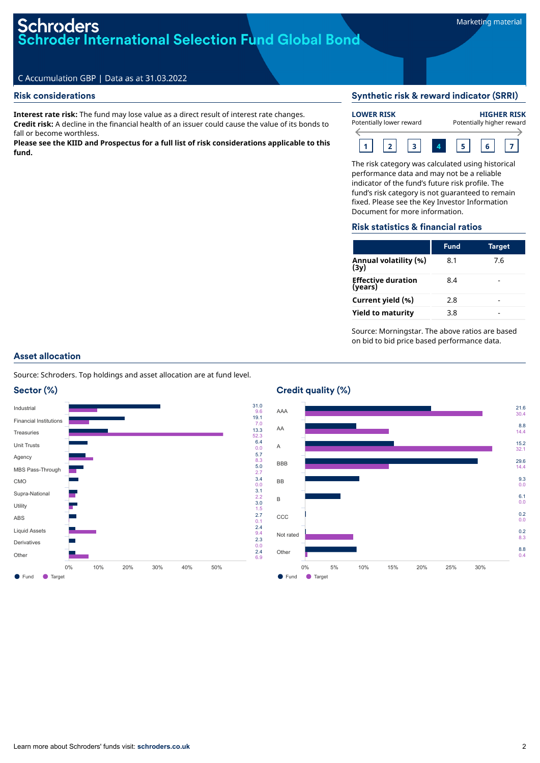# **Schroders Schroder International Selection Fund Global Bond**

## C Accumulation GBP | Data as at 31.03.2022

## Risk considerations

**Interest rate risk:** The fund may lose value as a direct result of interest rate changes. **Credit risk:** A decline in the financial health of an issuer could cause the value of its bonds to fall or become worthless.

**Please see the KIID and Prospectus for a full list of risk considerations applicable to this fund.**

## Synthetic risk & reward indicator (SRRI)



The risk category was calculated using historical performance data and may not be a reliable indicator of the fund's future risk profile. The fund's risk category is not guaranteed to remain fixed. Please see the Key Investor Information Document for more information.

## Risk statistics & financial ratios

|                                      | <b>Fund</b> | Target |
|--------------------------------------|-------------|--------|
| Annual volatility (%)<br>(3v)        | 8.1         | 7.6    |
| <b>Effective duration</b><br>(years) | 8.4         |        |
| Current yield (%)                    | 2.8         |        |
| <b>Yield to maturity</b>             | 3.8         |        |

Source: Morningstar. The above ratios are based on bid to bid price based performance data.

## Asset allocation

Source: Schroders. Top holdings and asset allocation are at fund level.





#### ● Fund ● Target AAA AA A **BBB** BB B **CCC** Not rated Other 21.6 30.4 8.8 14.4 15.2 32.1 29.6 14.4 9.3  $0.0$ 6.1 0.0 0.2 0.0 0.2 8.3 8.8  $0.4$ 0% 5% 10% 15% 20% 25% 30%

## Credit quality (%)

31.0 9.6 19.1

7.0 13.3 52.3 6.4 0.0 5.7 8.3 5.0 2.7 3.4 0.0 3.1 2.2 3.0

1.5 2.7 0.1 2.4 9.4 2.3

0.0 2.4 6.9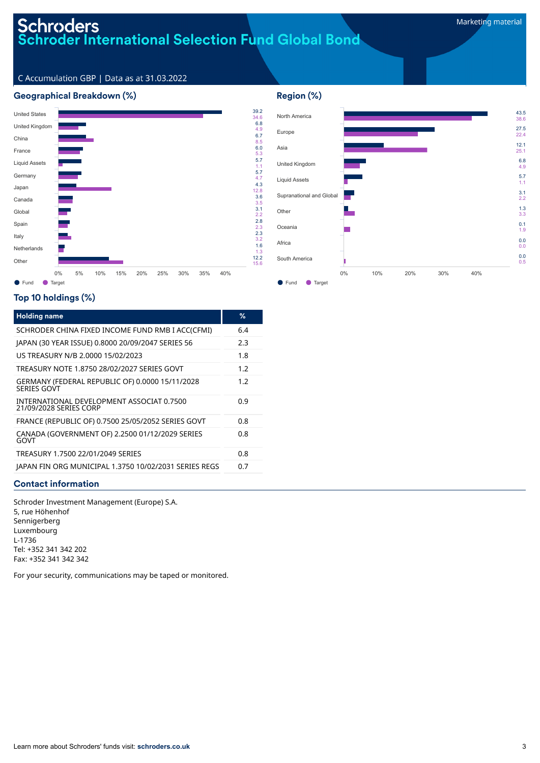# Schroders<br>Schroder International Selection Fund Global Bond

43.5 38.6 27.5 22.4 12.1 25.1

C Accumulation GBP | Data as at 31.03.2022

## Geographical Breakdown (%)



## Top 10 holdings (%)

| <b>Holding name</b>                                                 | %   |
|---------------------------------------------------------------------|-----|
| SCHRODER CHINA FIXED INCOME FUND RMB I ACC(CFMI)                    | 6.4 |
| JAPAN (30 YEAR ISSUE) 0.8000 20/09/2047 SERIES 56                   | 2.3 |
| US TREASURY N/B 2.0000 15/02/2023                                   | 1.8 |
| TREASURY NOTE 1.8750 28/02/2027 SERIES GOVT                         | 1.2 |
| GERMANY (FEDERAL REPUBLIC OF) 0.0000 15/11/2028<br>SERIES GOVT      | 1.2 |
| INTERNATIONAL DEVELOPMENT ASSOCIAT 0.7500<br>21/09/2028 SERIES CORP | 0.9 |
| FRANCE (REPUBLIC OF) 0.7500 25/05/2052 SERIES GOVT                  | 0.8 |
| CANADA (GOVERNMENT OF) 2.2500 01/12/2029 SERIES<br>GOVT             | 0.8 |
| TREASURY 1.7500 22/01/2049 SERIES                                   | 0.8 |
| JAPAN FIN ORG MUNICIPAL 1.3750 10/02/2031 SERIES REGS               | 0.7 |

## Contact information

Schroder Investment Management (Europe) S.A. 5, rue Höhenhof Sennigerberg Luxembourg L-1736 Tel: +352 341 342 202 Fax: +352 341 342 342

For your security, communications may be taped or monitored.

# Region (%) North America Europe Asia